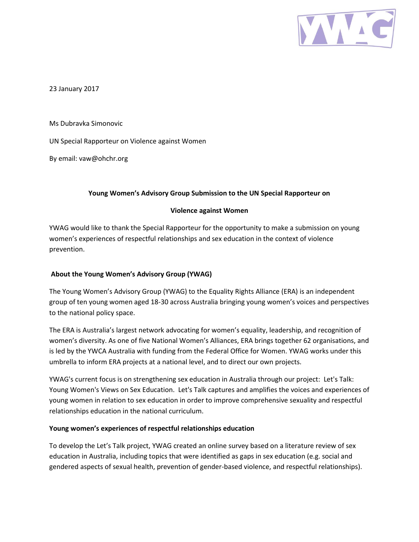

23 January 2017

Ms Dubravka Simonovic

UN Special Rapporteur on Violence against Women

By email: vaw@ohchr.org

## **Young Women's Advisory Group Submission to the UN Special Rapporteur on**

## **Violence against Women**

YWAG would like to thank the Special Rapporteur for the opportunity to make a submission on young women's experiences of respectful relationships and sex education in the context of violence prevention.

## **About the Young Women's Advisory Group (YWAG)**

The Young Women's Advisory Group (YWAG) to the Equality Rights Alliance (ERA) is an independent group of ten young women aged 18-30 across Australia bringing young women's voices and perspectives to the national policy space.

The ERA is Australia's largest network advocating for women's equality, leadership, and recognition of women's diversity. As one of five National Women's Alliances, ERA brings together 62 organisations, and is led by the YWCA Australia with funding from the Federal Office for Women. YWAG works under this umbrella to inform ERA projects at a national level, and to direct our own projects.

YWAG's current focus is on strengthening sex education in Australia through our project: Let's Talk: Young Women's Views on Sex Education. Let's Talk captures and amplifies the voices and experiences of young women in relation to sex education in order to improve comprehensive sexuality and respectful relationships education in the national curriculum.

## **Young women's experiences of respectful relationships education**

To develop the Let's Talk project, YWAG created an online survey based on a literature review of sex education in Australia, including topics that were identified as gaps in sex education (e.g. social and gendered aspects of sexual health, prevention of gender-based violence, and respectful relationships).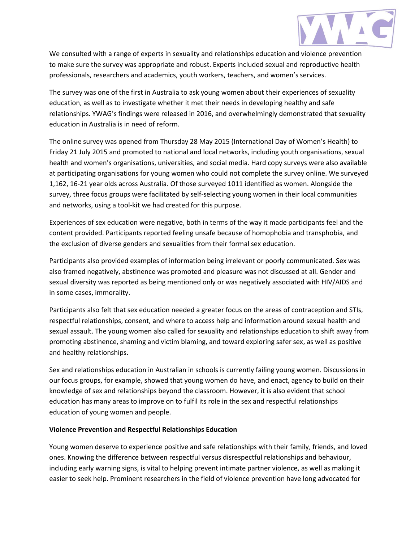

We consulted with a range of experts in sexuality and relationships education and violence prevention to make sure the survey was appropriate and robust. Experts included sexual and reproductive health professionals, researchers and academics, youth workers, teachers, and women's services.

The survey was one of the first in Australia to ask young women about their experiences of sexuality education, as well as to investigate whether it met their needs in developing healthy and safe relationships. YWAG's findings were released in 2016, and overwhelmingly demonstrated that sexuality education in Australia is in need of reform.

The online survey was opened from Thursday 28 May 2015 (International Day of Women's Health) to Friday 21 July 2015 and promoted to national and local networks, including youth organisations, sexual health and women's organisations, universities, and social media. Hard copy surveys were also available at participating organisations for young women who could not complete the survey online. We surveyed 1,162, 16-21 year olds across Australia. Of those surveyed 1011 identified as women. Alongside the survey, three focus groups were facilitated by self-selecting young women in their local communities and networks, using a tool-kit we had created for this purpose.

Experiences of sex education were negative, both in terms of the way it made participants feel and the content provided. Participants reported feeling unsafe because of homophobia and transphobia, and the exclusion of diverse genders and sexualities from their formal sex education.

Participants also provided examples of information being irrelevant or poorly communicated. Sex was also framed negatively, abstinence was promoted and pleasure was not discussed at all. Gender and sexual diversity was reported as being mentioned only or was negatively associated with HIV/AIDS and in some cases, immorality.

Participants also felt that sex education needed a greater focus on the areas of contraception and STIs, respectful relationships, consent, and where to access help and information around sexual health and sexual assault. The young women also called for sexuality and relationships education to shift away from promoting abstinence, shaming and victim blaming, and toward exploring safer sex, as well as positive and healthy relationships.

Sex and relationships education in Australian in schools is currently failing young women. Discussions in our focus groups, for example, showed that young women do have, and enact, agency to build on their knowledge of sex and relationships beyond the classroom. However, it is also evident that school education has many areas to improve on to fulfil its role in the sex and respectful relationships education of young women and people.

## **Violence Prevention and Respectful Relationships Education**

Young women deserve to experience positive and safe relationships with their family, friends, and loved ones. Knowing the difference between respectful versus disrespectful relationships and behaviour, including early warning signs, is vital to helping prevent intimate partner violence, as well as making it easier to seek help. Prominent researchers in the field of violence prevention have long advocated for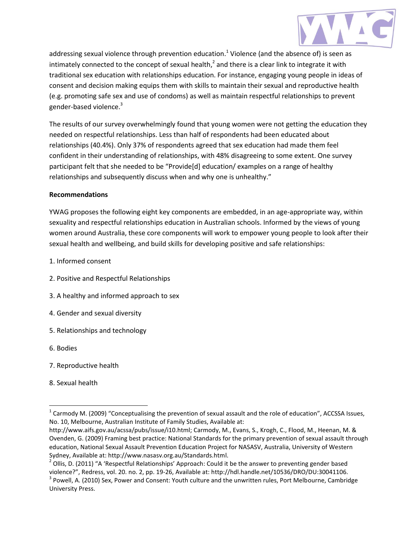

addressing sexual violence through prevention education.<sup>1</sup> Violence (and the absence of) is seen as intimately connected to the concept of sexual health,<sup>2</sup> and there is a clear link to integrate it with traditional sex education with relationships education. For instance, engaging young people in ideas of consent and decision making equips them with skills to maintain their sexual and reproductive health (e.g. promoting safe sex and use of condoms) as well as maintain respectful relationships to prevent gender-based violence.<sup>3</sup>

The results of our survey overwhelmingly found that young women were not getting the education they needed on respectful relationships. Less than half of respondents had been educated about relationships (40.4%). Only 37% of respondents agreed that sex education had made them feel confident in their understanding of relationships, with 48% disagreeing to some extent. One survey participant felt that she needed to be "Provide[d] education/ examples on a range of healthy relationships and subsequently discuss when and why one is unhealthy."

### **Recommendations**

YWAG proposes the following eight key components are embedded, in an age-appropriate way, within sexuality and respectful relationships education in Australian schools. Informed by the views of young women around Australia, these core components will work to empower young people to look after their sexual health and wellbeing, and build skills for developing positive and safe relationships:

- 1. Informed consent
- 2. Positive and Respectful Relationships
- 3. A healthy and informed approach to sex
- 4. Gender and sexual diversity
- 5. Relationships and technology
- 6. Bodies

 $\overline{\phantom{a}}$ 

- 7. Reproductive health
- 8. Sexual health

 $^1$  Carmody M. (2009) "Conceptualising the prevention of sexual assault and the role of education", ACCSSA Issues, No. 10, Melbourne, Australian Institute of Family Studies, Available at:

http://www.aifs.gov.au/acssa/pubs/issue/i10.html; Carmody, M., Evans, S., Krogh, C., Flood, M., Heenan, M. & Ovenden, G. (2009) Framing best practice: National Standards for the primary prevention of sexual assault through education, National Sexual Assault Prevention Education Project for NASASV, Australia, University of Western Sydney, Available at: http://www.nasasv.org.au/Standards.html.

 $^2$  Ollis, D. (2011) "A 'Respectful Relationships' Approach: Could it be the answer to preventing gender based violence?", Redress, vol. 20. no. 2, pp. 19-26, Available at: http://hdl.handle.net/10536/DRO/DU:30041106.

 $3$  Powell, A. (2010) Sex, Power and Consent: Youth culture and the unwritten rules, Port Melbourne, Cambridge University Press.